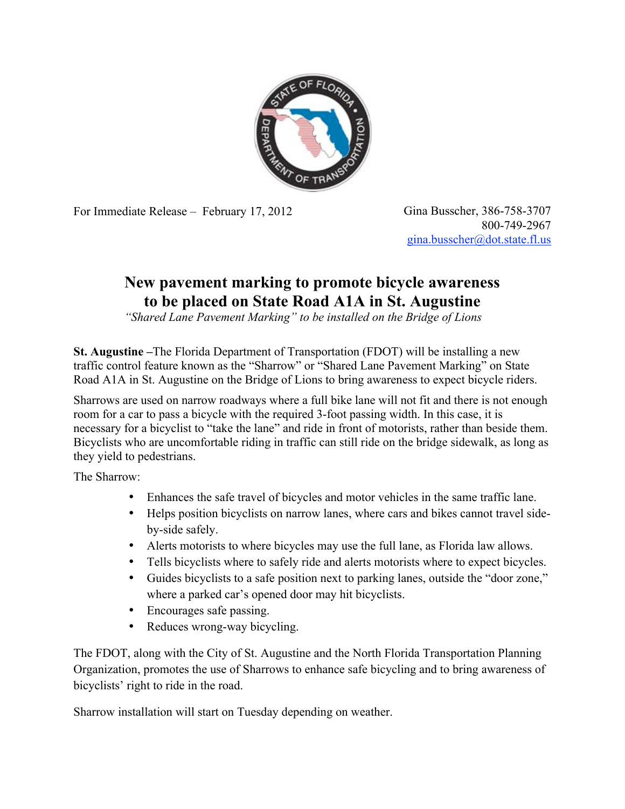

For Immediate Release – February 17, 2012 Gina Busscher, 386-758-3707

800-749-2967 gina.busscher@dot.state.fl.us

## **New pavement marking to promote bicycle awareness to be placed on State Road A1A in St. Augustine**

*"Shared Lane Pavement Marking" to be installed on the Bridge of Lions*

**St. Augustine –**The Florida Department of Transportation (FDOT) will be installing a new traffic control feature known as the "Sharrow" or "Shared Lane Pavement Marking" on State Road A1A in St. Augustine on the Bridge of Lions to bring awareness to expect bicycle riders.

Sharrows are used on narrow roadways where a full bike lane will not fit and there is not enough room for a car to pass a bicycle with the required 3-foot passing width. In this case, it is necessary for a bicyclist to "take the lane" and ride in front of motorists, rather than beside them. Bicyclists who are uncomfortable riding in traffic can still ride on the bridge sidewalk, as long as they yield to pedestrians.

The Sharrow:

- Enhances the safe travel of bicycles and motor vehicles in the same traffic lane.
- Helps position bicyclists on narrow lanes, where cars and bikes cannot travel sideby-side safely.
- Alerts motorists to where bicycles may use the full lane, as Florida law allows.
- Tells bicyclists where to safely ride and alerts motorists where to expect bicycles.
- Guides bicyclists to a safe position next to parking lanes, outside the "door zone," where a parked car's opened door may hit bicyclists.
- Encourages safe passing.
- Reduces wrong-way bicycling.

The FDOT, along with the City of St. Augustine and the North Florida Transportation Planning Organization, promotes the use of Sharrows to enhance safe bicycling and to bring awareness of bicyclists' right to ride in the road.

Sharrow installation will start on Tuesday depending on weather.